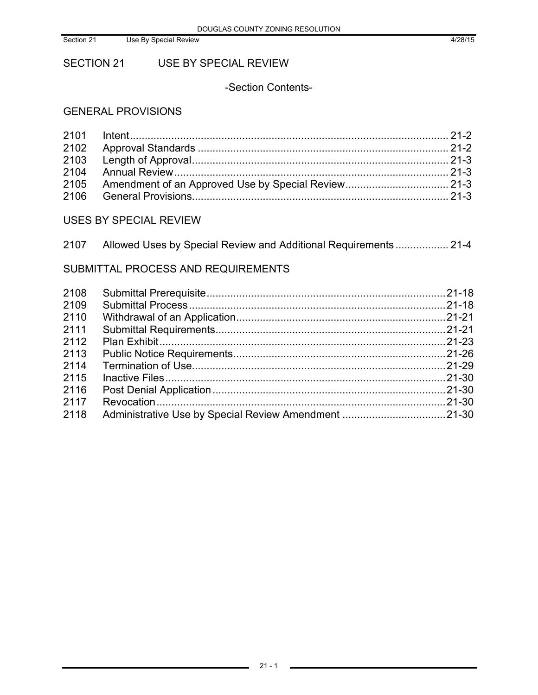# SECTION 21 USE BY SPECIAL REVIEW

-Section Contents-

# GENERAL PROVISIONS

# USES BY SPECIAL REVIEW

| 2107 Allowed Uses by Special Review and Additional Requirements  21-4 |  |
|-----------------------------------------------------------------------|--|
|                                                                       |  |

# SUBMITTAL PROCESS AND REQUIREMENTS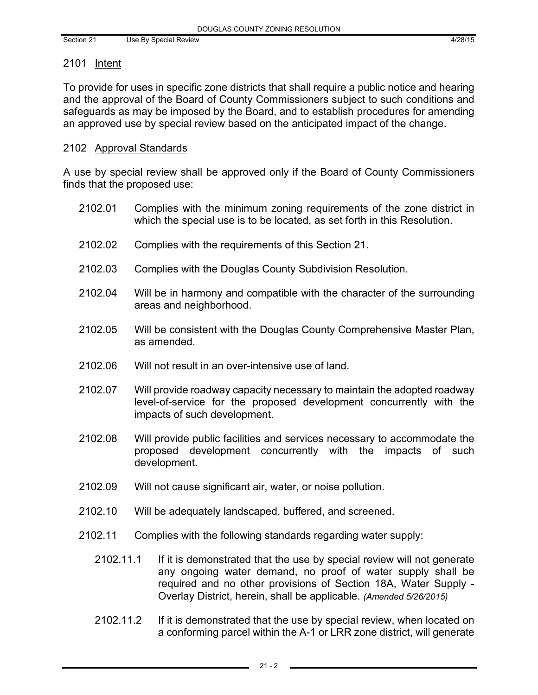### 2101 Intent

To provide for uses in specific zone districts that shall require a public notice and hearing and the approval of the Board of County Commissioners subject to such conditions and safeguards as may be imposed by the Board, and to establish procedures for amending an approved use by special review based on the anticipated impact of the change.

#### 2102 Approval Standards

A use by special review shall be approved only if the Board of County Commissioners finds that the proposed use:

- 2102.01 Complies with the minimum zoning requirements of the zone district in which the special use is to be located, as set forth in this Resolution.
- 2102.02 Complies with the requirements of this Section 21.
- 2102.03 Complies with the Douglas County Subdivision Resolution.
- 2102.04 Will be in harmony and compatible with the character of the surrounding areas and neighborhood.
- 2102.05 Will be consistent with the Douglas County Comprehensive Master Plan, as amended.
- 2102.06 Will not result in an over-intensive use of land.
- 2102.07 Will provide roadway capacity necessary to maintain the adopted roadway level-of-service for the proposed development concurrently with the impacts of such development.
- 2102.08 Will provide public facilities and services necessary to accommodate the proposed development concurrently with the impacts of such development.
- 2102.09 Will not cause significant air, water, or noise pollution.
- 2102.10 Will be adequately landscaped, buffered, and screened.
- 2102.11 Complies with the following standards regarding water supply:
	- 2102.11.1 If it is demonstrated that the use by special review will not generate any ongoing water demand, no proof of water supply shall be required and no other provisions of Section 18A, Water Supply - Overlay District, herein, shall be applicable. *(Amended 5/26/2015)*
	- 2102.11.2 If it is demonstrated that the use by special review, when located on a conforming parcel within the A-1 or LRR zone district, will generate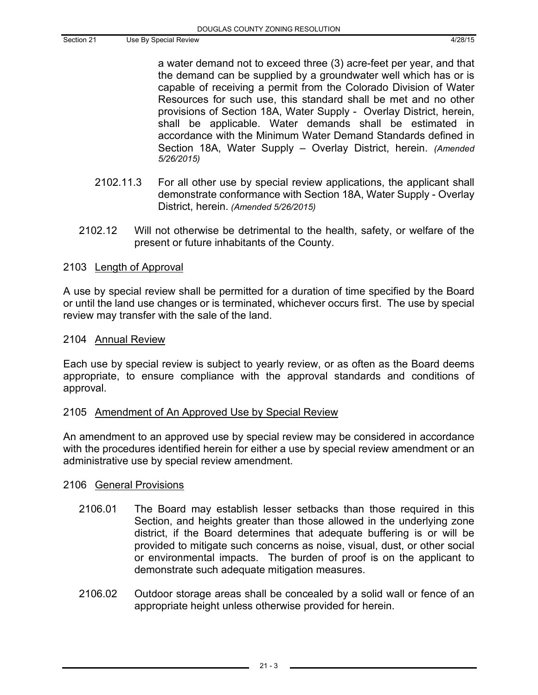a water demand not to exceed three (3) acre-feet per year, and that the demand can be supplied by a groundwater well which has or is capable of receiving a permit from the Colorado Division of Water Resources for such use, this standard shall be met and no other provisions of Section 18A, Water Supply - Overlay District, herein, shall be applicable. Water demands shall be estimated in accordance with the Minimum Water Demand Standards defined in Section 18A, Water Supply – Overlay District, herein. *(Amended 5/26/2015)*

- 2102.11.3 For all other use by special review applications, the applicant shall demonstrate conformance with Section 18A, Water Supply - Overlay District, herein. *(Amended 5/26/2015)*
- 2102.12 Will not otherwise be detrimental to the health, safety, or welfare of the present or future inhabitants of the County.

# 2103 Length of Approval

A use by special review shall be permitted for a duration of time specified by the Board or until the land use changes or is terminated, whichever occurs first. The use by special review may transfer with the sale of the land.

### 2104 Annual Review

Each use by special review is subject to yearly review, or as often as the Board deems appropriate, to ensure compliance with the approval standards and conditions of approval.

### 2105 Amendment of An Approved Use by Special Review

An amendment to an approved use by special review may be considered in accordance with the procedures identified herein for either a use by special review amendment or an administrative use by special review amendment.

### 2106 General Provisions

- 2106.01 The Board may establish lesser setbacks than those required in this Section, and heights greater than those allowed in the underlying zone district, if the Board determines that adequate buffering is or will be provided to mitigate such concerns as noise, visual, dust, or other social or environmental impacts. The burden of proof is on the applicant to demonstrate such adequate mitigation measures.
- 2106.02 Outdoor storage areas shall be concealed by a solid wall or fence of an appropriate height unless otherwise provided for herein.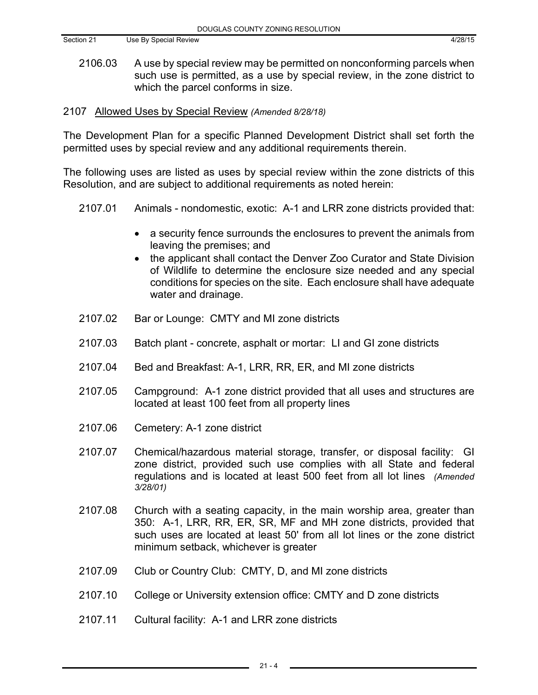- 2106.03 A use by special review may be permitted on nonconforming parcels when such use is permitted, as a use by special review, in the zone district to which the parcel conforms in size.
- 2107 Allowed Uses by Special Review *(Amended 8/28/18)*

The Development Plan for a specific Planned Development District shall set forth the permitted uses by special review and any additional requirements therein.

The following uses are listed as uses by special review within the zone districts of this Resolution, and are subject to additional requirements as noted herein:

- 2107.01 Animals nondomestic, exotic: A-1 and LRR zone districts provided that:
	- a security fence surrounds the enclosures to prevent the animals from leaving the premises; and
	- the applicant shall contact the Denver Zoo Curator and State Division of Wildlife to determine the enclosure size needed and any special conditions for species on the site. Each enclosure shall have adequate water and drainage.
- 2107.02 Bar or Lounge: CMTY and MI zone districts
- 2107.03 Batch plant concrete, asphalt or mortar: LI and GI zone districts
- 2107.04 Bed and Breakfast: A-1, LRR, RR, ER, and MI zone districts
- 2107.05 Campground: A-1 zone district provided that all uses and structures are located at least 100 feet from all property lines
- 2107.06 Cemetery: A-1 zone district
- 2107.07 Chemical/hazardous material storage, transfer, or disposal facility: GI zone district, provided such use complies with all State and federal regulations and is located at least 500 feet from all lot lines *(Amended 3/28/01)*
- 2107.08 Church with a seating capacity, in the main worship area, greater than 350: A-1, LRR, RR, ER, SR, MF and MH zone districts, provided that such uses are located at least 50' from all lot lines or the zone district minimum setback, whichever is greater
- 2107.09 Club or Country Club: CMTY, D, and MI zone districts
- 2107.10 College or University extension office: CMTY and D zone districts
- 2107.11 Cultural facility: A-1 and LRR zone districts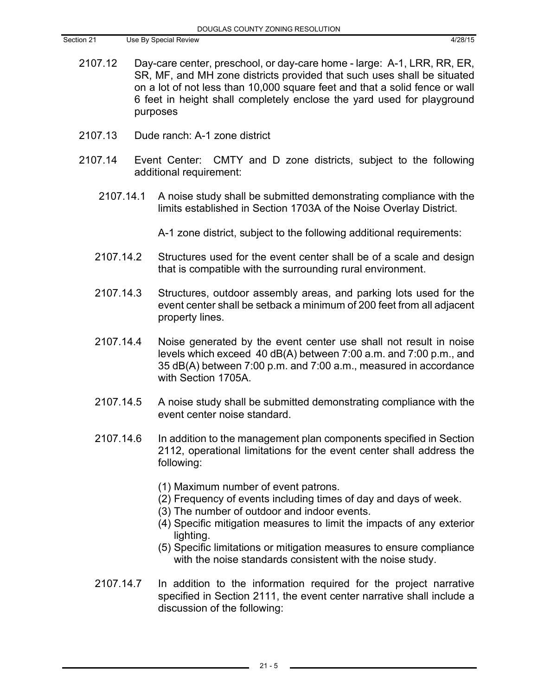- 2107.12 Day-care center, preschool, or day-care home large: A-1, LRR, RR, ER, SR, MF, and MH zone districts provided that such uses shall be situated on a lot of not less than 10,000 square feet and that a solid fence or wall 6 feet in height shall completely enclose the yard used for playground purposes
- 2107.13 Dude ranch: A-1 zone district
- 2107.14 Event Center: CMTY and D zone districts, subject to the following additional requirement:
	- 2107.14.1 A noise study shall be submitted demonstrating compliance with the limits established in Section 1703A of the Noise Overlay District.

A-1 zone district, subject to the following additional requirements:

- 2107.14.2 Structures used for the event center shall be of a scale and design that is compatible with the surrounding rural environment.
- 2107.14.3 Structures, outdoor assembly areas, and parking lots used for the event center shall be setback a minimum of 200 feet from all adjacent property lines.
- 2107.14.4 Noise generated by the event center use shall not result in noise levels which exceed 40 dB(A) between 7:00 a.m. and 7:00 p.m., and 35 dB(A) between 7:00 p.m. and 7:00 a.m., measured in accordance with Section 1705A.
- 2107.14.5 A noise study shall be submitted demonstrating compliance with the event center noise standard.
- 2107.14.6 In addition to the management plan components specified in Section 2112, operational limitations for the event center shall address the following:
	- (1) Maximum number of event patrons.
	- (2) Frequency of events including times of day and days of week.
	- (3) The number of outdoor and indoor events.
	- (4) Specific mitigation measures to limit the impacts of any exterior lighting.
	- (5) Specific limitations or mitigation measures to ensure compliance with the noise standards consistent with the noise study.
- 2107.14.7 In addition to the information required for the project narrative specified in Section 2111, the event center narrative shall include a discussion of the following: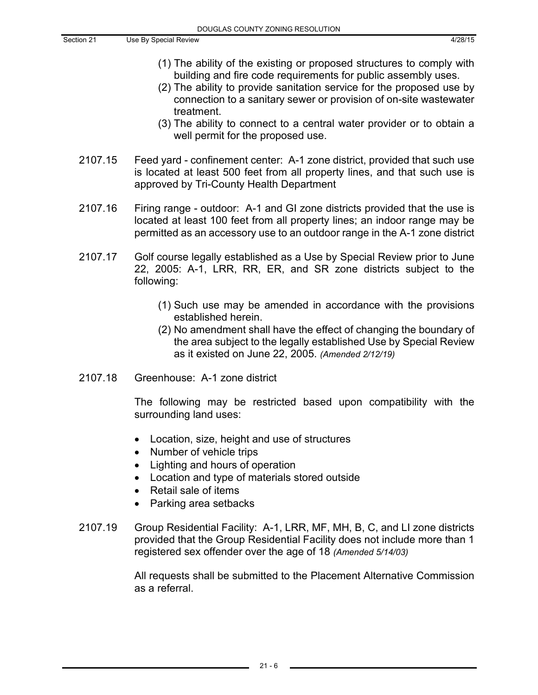- (1) The ability of the existing or proposed structures to comply with building and fire code requirements for public assembly uses.
- (2) The ability to provide sanitation service for the proposed use by connection to a sanitary sewer or provision of on-site wastewater treatment.
- (3) The ability to connect to a central water provider or to obtain a well permit for the proposed use.
- 2107.15 Feed yard confinement center: A-1 zone district, provided that such use is located at least 500 feet from all property lines, and that such use is approved by Tri-County Health Department
- 2107.16 Firing range outdoor: A-1 and GI zone districts provided that the use is located at least 100 feet from all property lines; an indoor range may be permitted as an accessory use to an outdoor range in the A-1 zone district
- 2107.17 Golf course legally established as a Use by Special Review prior to June 22, 2005: A-1, LRR, RR, ER, and SR zone districts subject to the following:
	- (1) Such use may be amended in accordance with the provisions established herein.
	- (2) No amendment shall have the effect of changing the boundary of the area subject to the legally established Use by Special Review as it existed on June 22, 2005. *(Amended 2/12/19)*
- 2107.18 Greenhouse: A-1 zone district

The following may be restricted based upon compatibility with the surrounding land uses:

- Location, size, height and use of structures
- Number of vehicle trips
- Lighting and hours of operation
- Location and type of materials stored outside
- Retail sale of items
- Parking area setbacks
- 2107.19 Group Residential Facility: A-1, LRR, MF, MH, B, C, and LI zone districts provided that the Group Residential Facility does not include more than 1 registered sex offender over the age of 18 *(Amended 5/14/03)*

All requests shall be submitted to the Placement Alternative Commission as a referral.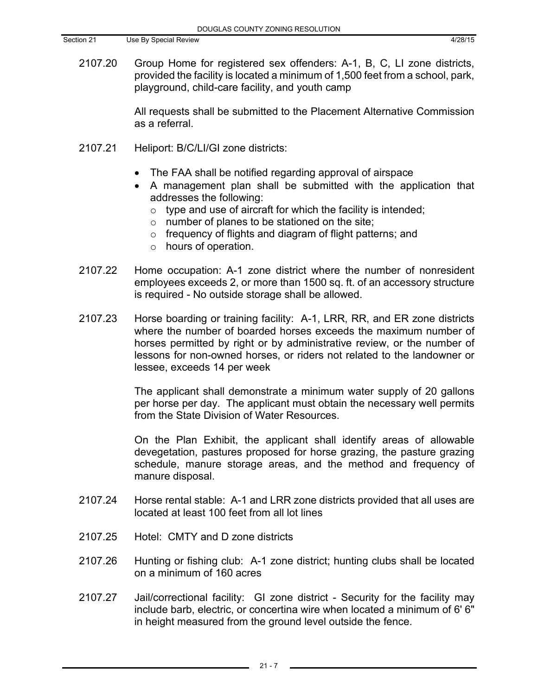2107.20 Group Home for registered sex offenders: A-1, B, C, LI zone districts, provided the facility is located a minimum of 1,500 feet from a school, park, playground, child-care facility, and youth camp

> All requests shall be submitted to the Placement Alternative Commission as a referral.

- 2107.21 Heliport: B/C/LI/GI zone districts:
	- The FAA shall be notified regarding approval of airspace
	- A management plan shall be submitted with the application that addresses the following:
		- $\circ$  type and use of aircraft for which the facility is intended;
		- o number of planes to be stationed on the site;
		- o frequency of flights and diagram of flight patterns; and
		- o hours of operation.
- 2107.22 Home occupation: A-1 zone district where the number of nonresident employees exceeds 2, or more than 1500 sq. ft. of an accessory structure is required - No outside storage shall be allowed.
- 2107.23 Horse boarding or training facility: A-1, LRR, RR, and ER zone districts where the number of boarded horses exceeds the maximum number of horses permitted by right or by administrative review, or the number of lessons for non-owned horses, or riders not related to the landowner or lessee, exceeds 14 per week

The applicant shall demonstrate a minimum water supply of 20 gallons per horse per day. The applicant must obtain the necessary well permits from the State Division of Water Resources.

On the Plan Exhibit, the applicant shall identify areas of allowable devegetation, pastures proposed for horse grazing, the pasture grazing schedule, manure storage areas, and the method and frequency of manure disposal.

- 2107.24 Horse rental stable: A-1 and LRR zone districts provided that all uses are located at least 100 feet from all lot lines
- 2107.25 Hotel: CMTY and D zone districts
- 2107.26 Hunting or fishing club: A-1 zone district; hunting clubs shall be located on a minimum of 160 acres
- 2107.27 Jail/correctional facility: GI zone district Security for the facility may include barb, electric, or concertina wire when located a minimum of 6' 6" in height measured from the ground level outside the fence.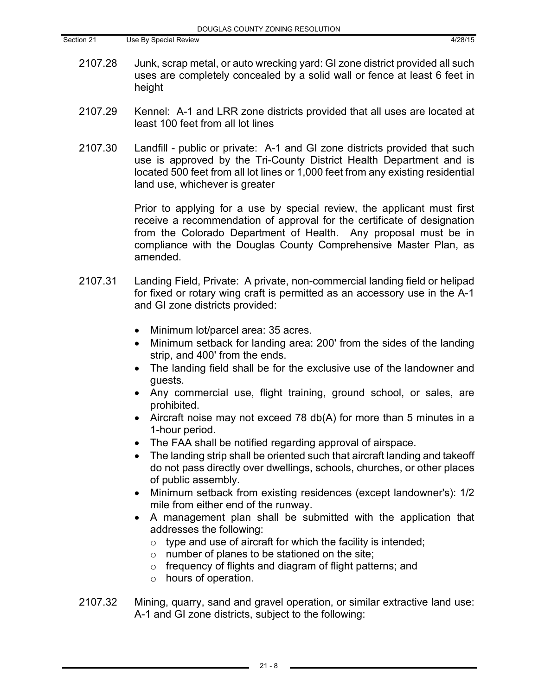- 2107.28 Junk, scrap metal, or auto wrecking yard: GI zone district provided all such uses are completely concealed by a solid wall or fence at least 6 feet in height
- 2107.29 Kennel: A-1 and LRR zone districts provided that all uses are located at least 100 feet from all lot lines
- 2107.30 Landfill public or private: A-1 and GI zone districts provided that such use is approved by the Tri-County District Health Department and is located 500 feet from all lot lines or 1,000 feet from any existing residential land use, whichever is greater

Prior to applying for a use by special review, the applicant must first receive a recommendation of approval for the certificate of designation from the Colorado Department of Health. Any proposal must be in compliance with the Douglas County Comprehensive Master Plan, as amended.

- 2107.31 Landing Field, Private: A private, non-commercial landing field or helipad for fixed or rotary wing craft is permitted as an accessory use in the A-1 and GI zone districts provided:
	- Minimum lot/parcel area: 35 acres.
	- Minimum setback for landing area: 200' from the sides of the landing strip, and 400' from the ends.
	- The landing field shall be for the exclusive use of the landowner and guests.
	- Any commercial use, flight training, ground school, or sales, are prohibited.
	- Aircraft noise may not exceed 78 db(A) for more than 5 minutes in a 1-hour period.
	- The FAA shall be notified regarding approval of airspace.
	- The landing strip shall be oriented such that aircraft landing and takeoff do not pass directly over dwellings, schools, churches, or other places of public assembly.
	- Minimum setback from existing residences (except landowner's): 1/2 mile from either end of the runway.
	- A management plan shall be submitted with the application that addresses the following:
		- $\circ$  type and use of aircraft for which the facility is intended;
		- o number of planes to be stationed on the site;
		- o frequency of flights and diagram of flight patterns; and
		- o hours of operation.
- 2107.32 Mining, quarry, sand and gravel operation, or similar extractive land use: A-1 and GI zone districts, subject to the following: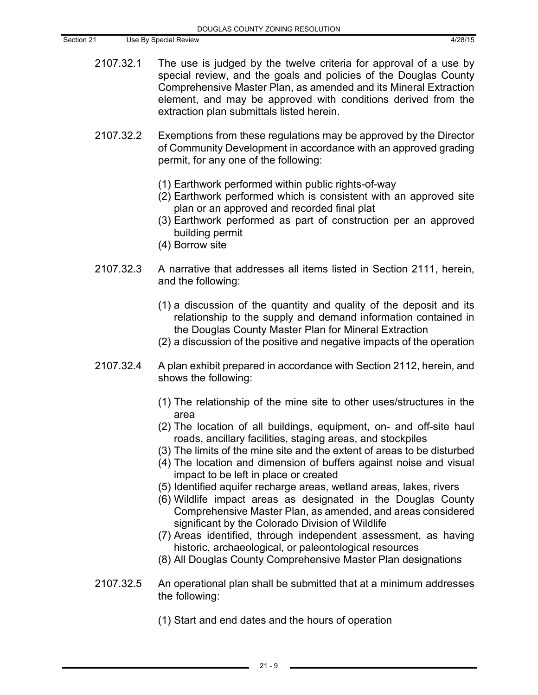| 2107.32.1 | The use is judged by the twelve criteria for approval of a use by |
|-----------|-------------------------------------------------------------------|
|           | special review, and the goals and policies of the Douglas County  |
|           | Comprehensive Master Plan, as amended and its Mineral Extraction  |
|           | element, and may be approved with conditions derived from the     |
|           | extraction plan submittals listed herein.                         |

- 2107.32.2 Exemptions from these regulations may be approved by the Director of Community Development in accordance with an approved grading permit, for any one of the following:
	- (1) Earthwork performed within public rights-of-way
	- (2) Earthwork performed which is consistent with an approved site plan or an approved and recorded final plat
	- (3) Earthwork performed as part of construction per an approved building permit
	- (4) Borrow site
- 2107.32.3 A narrative that addresses all items listed in Section 2111, herein, and the following:
	- (1) a discussion of the quantity and quality of the deposit and its relationship to the supply and demand information contained in the Douglas County Master Plan for Mineral Extraction
	- (2) a discussion of the positive and negative impacts of the operation
- 2107.32.4 A plan exhibit prepared in accordance with Section 2112, herein, and shows the following:
	- (1) The relationship of the mine site to other uses/structures in the area
	- (2) The location of all buildings, equipment, on- and off-site haul roads, ancillary facilities, staging areas, and stockpiles
	- (3) The limits of the mine site and the extent of areas to be disturbed
	- (4) The location and dimension of buffers against noise and visual impact to be left in place or created
	- (5) Identified aquifer recharge areas, wetland areas, lakes, rivers
	- (6) Wildlife impact areas as designated in the Douglas County Comprehensive Master Plan, as amended, and areas considered significant by the Colorado Division of Wildlife
	- (7) Areas identified, through independent assessment, as having historic, archaeological, or paleontological resources
	- (8) All Douglas County Comprehensive Master Plan designations
- 2107.32.5 An operational plan shall be submitted that at a minimum addresses the following:
	- (1) Start and end dates and the hours of operation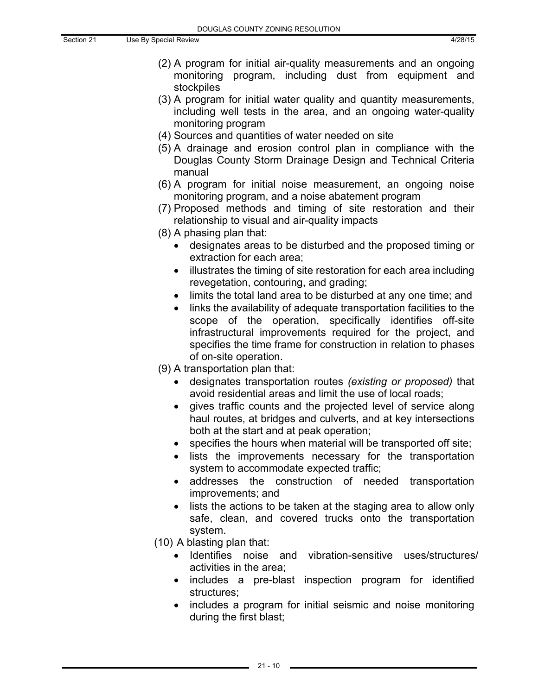- (2) A program for initial air-quality measurements and an ongoing monitoring program, including dust from equipment and stockpiles
- (3) A program for initial water quality and quantity measurements, including well tests in the area, and an ongoing water-quality monitoring program
- (4) Sources and quantities of water needed on site
- (5) A drainage and erosion control plan in compliance with the Douglas County Storm Drainage Design and Technical Criteria manual
- (6) A program for initial noise measurement, an ongoing noise monitoring program, and a noise abatement program
- (7) Proposed methods and timing of site restoration and their relationship to visual and air-quality impacts
- (8) A phasing plan that:
	- designates areas to be disturbed and the proposed timing or extraction for each area;
	- illustrates the timing of site restoration for each area including revegetation, contouring, and grading;
	- limits the total land area to be disturbed at any one time; and
	- links the availability of adequate transportation facilities to the scope of the operation, specifically identifies off-site infrastructural improvements required for the project, and specifies the time frame for construction in relation to phases of on-site operation.
- (9) A transportation plan that:
	- designates transportation routes *(existing or proposed)* that avoid residential areas and limit the use of local roads;
	- gives traffic counts and the projected level of service along haul routes, at bridges and culverts, and at key intersections both at the start and at peak operation;
	- specifies the hours when material will be transported off site;
	- lists the improvements necessary for the transportation system to accommodate expected traffic;
	- addresses the construction of needed transportation improvements; and
	- lists the actions to be taken at the staging area to allow only safe, clean, and covered trucks onto the transportation system.
- (10) A blasting plan that:
	- Identifies noise and vibration-sensitive uses/structures/ activities in the area;
	- includes a pre-blast inspection program for identified structures;
	- includes a program for initial seismic and noise monitoring during the first blast;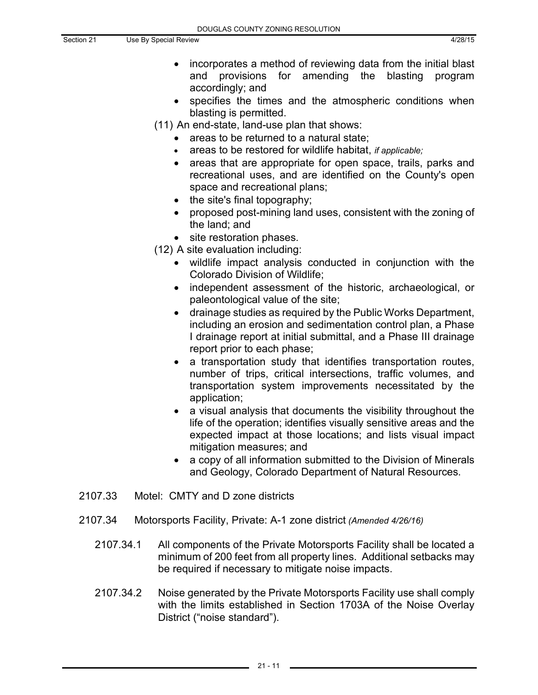- Section 21 Use By Special Review 4/28/15
	- incorporates a method of reviewing data from the initial blast and provisions for amending the blasting program accordingly; and
	- specifies the times and the atmospheric conditions when blasting is permitted.
	- (11) An end-state, land-use plan that shows:
		- areas to be returned to a natural state:
		- areas to be restored for wildlife habitat, *if applicable;*
		- areas that are appropriate for open space, trails, parks and recreational uses, and are identified on the County's open space and recreational plans;
		- the site's final topography;
		- proposed post-mining land uses, consistent with the zoning of the land; and
		- site restoration phases.
	- (12) A site evaluation including:
		- wildlife impact analysis conducted in conjunction with the Colorado Division of Wildlife;
		- independent assessment of the historic, archaeological, or paleontological value of the site;
		- drainage studies as required by the Public Works Department, including an erosion and sedimentation control plan, a Phase I drainage report at initial submittal, and a Phase III drainage report prior to each phase;
		- a transportation study that identifies transportation routes, number of trips, critical intersections, traffic volumes, and transportation system improvements necessitated by the application;
		- a visual analysis that documents the visibility throughout the life of the operation; identifies visually sensitive areas and the expected impact at those locations; and lists visual impact mitigation measures; and
		- a copy of all information submitted to the Division of Minerals and Geology, Colorado Department of Natural Resources.
	- 2107.33 Motel: CMTY and D zone districts
	- 2107.34 Motorsports Facility, Private: A-1 zone district *(Amended 4/26/16)*
		- 2107.34.1 All components of the Private Motorsports Facility shall be located a minimum of 200 feet from all property lines. Additional setbacks may be required if necessary to mitigate noise impacts.
		- 2107.34.2 Noise generated by the Private Motorsports Facility use shall comply with the limits established in Section 1703A of the Noise Overlay District ("noise standard").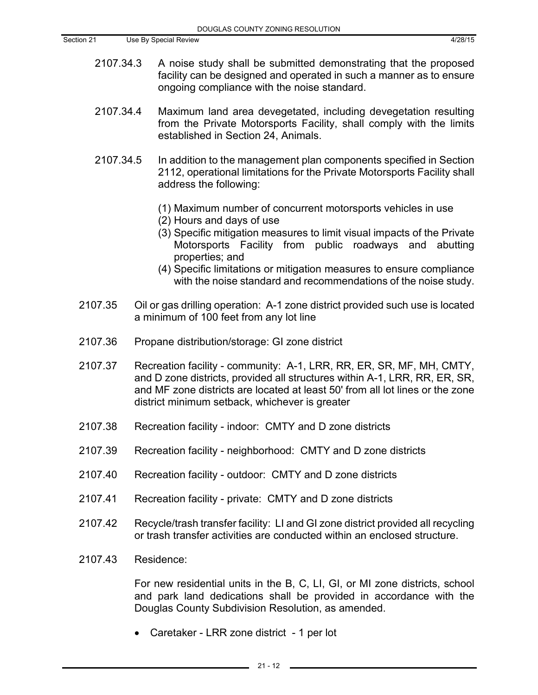- 2107.34.3 A noise study shall be submitted demonstrating that the proposed facility can be designed and operated in such a manner as to ensure ongoing compliance with the noise standard.
- 2107.34.4 Maximum land area devegetated, including devegetation resulting from the Private Motorsports Facility, shall comply with the limits established in Section 24, Animals.
- 2107.34.5 In addition to the management plan components specified in Section 2112, operational limitations for the Private Motorsports Facility shall address the following:
	- (1) Maximum number of concurrent motorsports vehicles in use
	- (2) Hours and days of use
	- (3) Specific mitigation measures to limit visual impacts of the Private Motorsports Facility from public roadways and abutting properties; and
	- (4) Specific limitations or mitigation measures to ensure compliance with the noise standard and recommendations of the noise study.
- 2107.35 Oil or gas drilling operation: A-1 zone district provided such use is located a minimum of 100 feet from any lot line
- 2107.36 Propane distribution/storage: GI zone district
- 2107.37 Recreation facility community: A-1, LRR, RR, ER, SR, MF, MH, CMTY, and D zone districts, provided all structures within A-1, LRR, RR, ER, SR, and MF zone districts are located at least 50' from all lot lines or the zone district minimum setback, whichever is greater
- 2107.38 Recreation facility indoor: CMTY and D zone districts
- 2107.39 Recreation facility neighborhood: CMTY and D zone districts
- 2107.40 Recreation facility outdoor: CMTY and D zone districts
- 2107.41 Recreation facility private: CMTY and D zone districts
- 2107.42 Recycle/trash transfer facility: LI and GI zone district provided all recycling or trash transfer activities are conducted within an enclosed structure.
- 2107.43 Residence:

For new residential units in the B, C, LI, GI, or MI zone districts, school and park land dedications shall be provided in accordance with the Douglas County Subdivision Resolution, as amended.

• Caretaker - LRR zone district - 1 per lot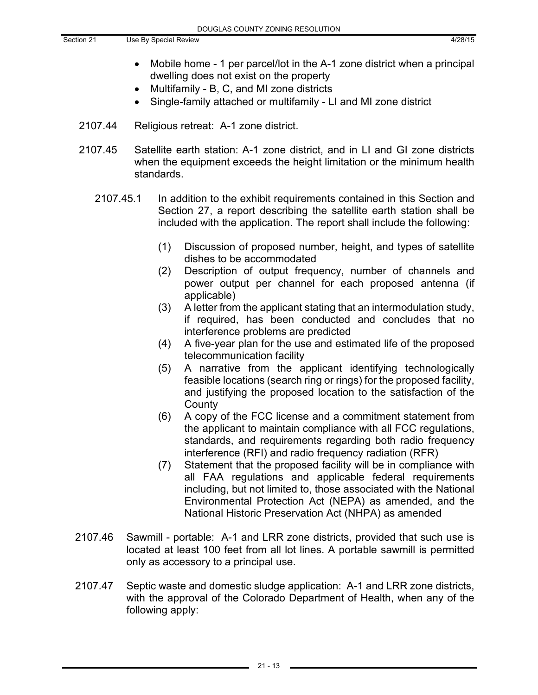- Mobile home 1 per parcel/lot in the A-1 zone district when a principal dwelling does not exist on the property
- Multifamily B, C, and MI zone districts
- Single-family attached or multifamily LI and MI zone district
- 2107.44 Religious retreat: A-1 zone district.
- 2107.45 Satellite earth station: A-1 zone district, and in LI and GI zone districts when the equipment exceeds the height limitation or the minimum health standards.
	- 2107.45.1 In addition to the exhibit requirements contained in this Section and Section 27, a report describing the satellite earth station shall be included with the application. The report shall include the following:
		- (1) Discussion of proposed number, height, and types of satellite dishes to be accommodated
		- (2) Description of output frequency, number of channels and power output per channel for each proposed antenna (if applicable)
		- (3) A letter from the applicant stating that an intermodulation study, if required, has been conducted and concludes that no interference problems are predicted
		- (4) A five-year plan for the use and estimated life of the proposed telecommunication facility
		- (5) A narrative from the applicant identifying technologically feasible locations (search ring or rings) for the proposed facility, and justifying the proposed location to the satisfaction of the **County**
		- (6) A copy of the FCC license and a commitment statement from the applicant to maintain compliance with all FCC regulations, standards, and requirements regarding both radio frequency interference (RFI) and radio frequency radiation (RFR)
		- (7) Statement that the proposed facility will be in compliance with all FAA regulations and applicable federal requirements including, but not limited to, those associated with the National Environmental Protection Act (NEPA) as amended, and the National Historic Preservation Act (NHPA) as amended
- 2107.46 Sawmill portable: A-1 and LRR zone districts, provided that such use is located at least 100 feet from all lot lines. A portable sawmill is permitted only as accessory to a principal use.
- 2107.47 Septic waste and domestic sludge application: A-1 and LRR zone districts, with the approval of the Colorado Department of Health, when any of the following apply: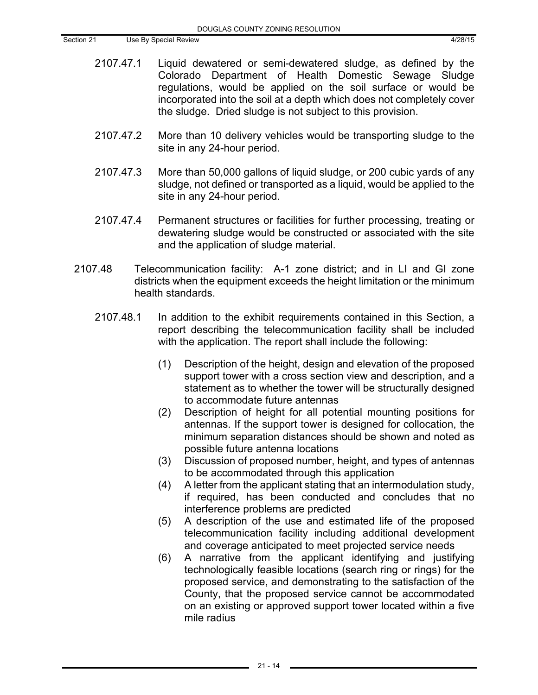- 2107.47.1 Liquid dewatered or semi-dewatered sludge, as defined by the Colorado Department of Health Domestic Sewage Sludge regulations, would be applied on the soil surface or would be incorporated into the soil at a depth which does not completely cover the sludge. Dried sludge is not subject to this provision.
- 2107.47.2 More than 10 delivery vehicles would be transporting sludge to the site in any 24-hour period.
- 2107.47.3 More than 50,000 gallons of liquid sludge, or 200 cubic yards of any sludge, not defined or transported as a liquid, would be applied to the site in any 24-hour period.
- 2107.47.4 Permanent structures or facilities for further processing, treating or dewatering sludge would be constructed or associated with the site and the application of sludge material.
- 2107.48 Telecommunication facility: A-1 zone district; and in LI and GI zone districts when the equipment exceeds the height limitation or the minimum health standards.
	- 2107.48.1 In addition to the exhibit requirements contained in this Section, a report describing the telecommunication facility shall be included with the application. The report shall include the following:
		- (1) Description of the height, design and elevation of the proposed support tower with a cross section view and description, and a statement as to whether the tower will be structurally designed to accommodate future antennas
		- (2) Description of height for all potential mounting positions for antennas. If the support tower is designed for collocation, the minimum separation distances should be shown and noted as possible future antenna locations
		- (3) Discussion of proposed number, height, and types of antennas to be accommodated through this application
		- (4) A letter from the applicant stating that an intermodulation study, if required, has been conducted and concludes that no interference problems are predicted
		- (5) A description of the use and estimated life of the proposed telecommunication facility including additional development and coverage anticipated to meet projected service needs
		- (6) A narrative from the applicant identifying and justifying technologically feasible locations (search ring or rings) for the proposed service, and demonstrating to the satisfaction of the County, that the proposed service cannot be accommodated on an existing or approved support tower located within a five mile radius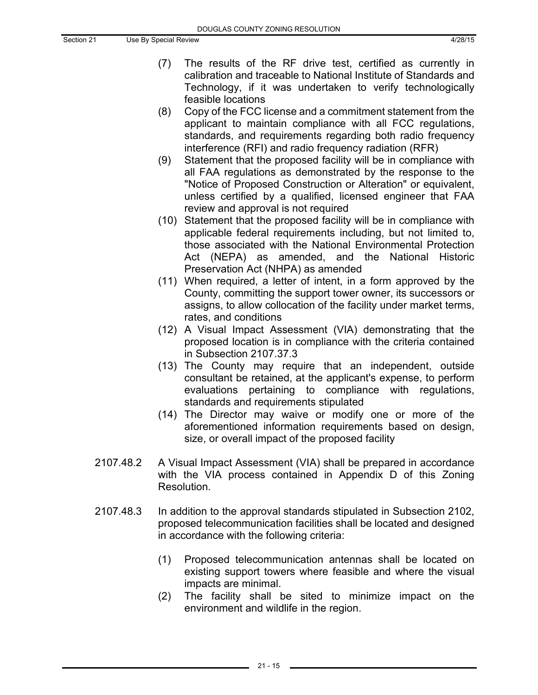- (7) The results of the RF drive test, certified as currently in calibration and traceable to National Institute of Standards and Technology, if it was undertaken to verify technologically feasible locations
- (8) Copy of the FCC license and a commitment statement from the applicant to maintain compliance with all FCC regulations, standards, and requirements regarding both radio frequency interference (RFI) and radio frequency radiation (RFR)
- (9) Statement that the proposed facility will be in compliance with all FAA regulations as demonstrated by the response to the "Notice of Proposed Construction or Alteration" or equivalent, unless certified by a qualified, licensed engineer that FAA review and approval is not required
- (10) Statement that the proposed facility will be in compliance with applicable federal requirements including, but not limited to, those associated with the National Environmental Protection Act (NEPA) as amended, and the National Historic Preservation Act (NHPA) as amended
- (11) When required, a letter of intent, in a form approved by the County, committing the support tower owner, its successors or assigns, to allow collocation of the facility under market terms, rates, and conditions
- (12) A Visual Impact Assessment (VIA) demonstrating that the proposed location is in compliance with the criteria contained in Subsection 2107.37.3
- (13) The County may require that an independent, outside consultant be retained, at the applicant's expense, to perform evaluations pertaining to compliance with regulations, standards and requirements stipulated
- (14) The Director may waive or modify one or more of the aforementioned information requirements based on design, size, or overall impact of the proposed facility
- 2107.48.2 A Visual Impact Assessment (VIA) shall be prepared in accordance with the VIA process contained in Appendix D of this Zoning Resolution.
- 2107.48.3 In addition to the approval standards stipulated in Subsection 2102, proposed telecommunication facilities shall be located and designed in accordance with the following criteria:
	- (1) Proposed telecommunication antennas shall be located on existing support towers where feasible and where the visual impacts are minimal.
	- (2) The facility shall be sited to minimize impact on the environment and wildlife in the region.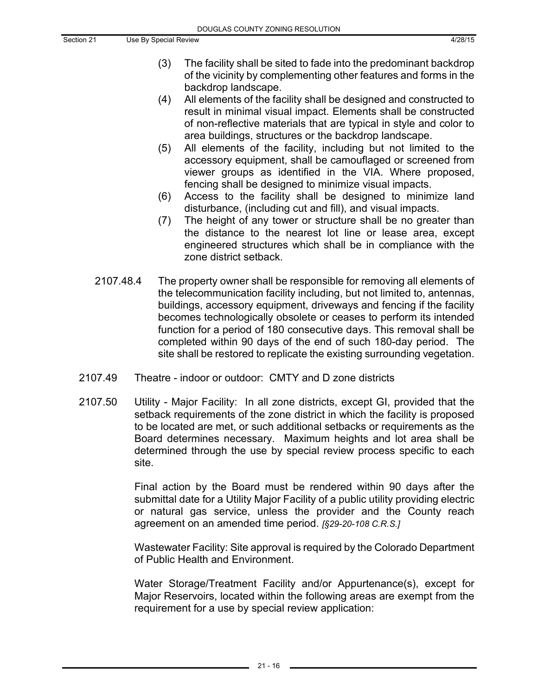- (3) The facility shall be sited to fade into the predominant backdrop of the vicinity by complementing other features and forms in the backdrop landscape.
- (4) All elements of the facility shall be designed and constructed to result in minimal visual impact. Elements shall be constructed of non-reflective materials that are typical in style and color to area buildings, structures or the backdrop landscape.
- (5) All elements of the facility, including but not limited to the accessory equipment, shall be camouflaged or screened from viewer groups as identified in the VIA. Where proposed, fencing shall be designed to minimize visual impacts.
- (6) Access to the facility shall be designed to minimize land disturbance, (including cut and fill), and visual impacts.
- (7) The height of any tower or structure shall be no greater than the distance to the nearest lot line or lease area, except engineered structures which shall be in compliance with the zone district setback.
- 2107.48.4 The property owner shall be responsible for removing all elements of the telecommunication facility including, but not limited to, antennas, buildings, accessory equipment, driveways and fencing if the facility becomes technologically obsolete or ceases to perform its intended function for a period of 180 consecutive days. This removal shall be completed within 90 days of the end of such 180-day period. The site shall be restored to replicate the existing surrounding vegetation.
- 2107.49 Theatre indoor or outdoor: CMTY and D zone districts
- 2107.50 Utility Major Facility: In all zone districts, except GI, provided that the setback requirements of the zone district in which the facility is proposed to be located are met, or such additional setbacks or requirements as the Board determines necessary. Maximum heights and lot area shall be determined through the use by special review process specific to each site.

Final action by the Board must be rendered within 90 days after the submittal date for a Utility Major Facility of a public utility providing electric or natural gas service, unless the provider and the County reach agreement on an amended time period. *[§29-20-108 C.R.S.]*

Wastewater Facility: Site approval is required by the Colorado Department of Public Health and Environment.

Water Storage/Treatment Facility and/or Appurtenance(s), except for Major Reservoirs, located within the following areas are exempt from the requirement for a use by special review application: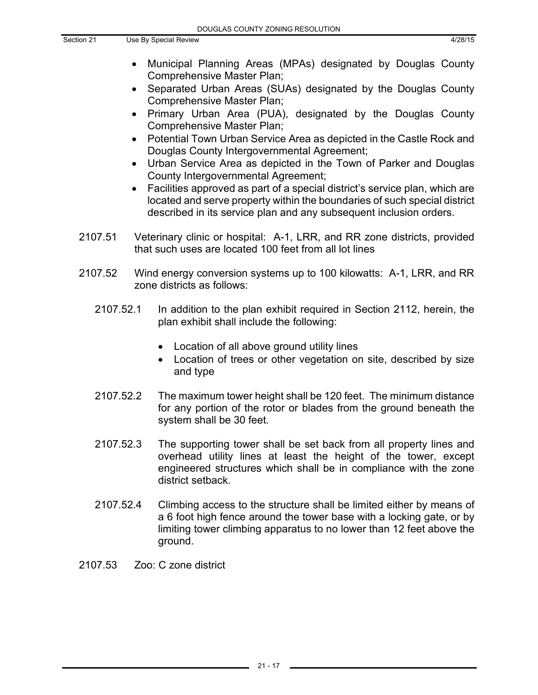- Municipal Planning Areas (MPAs) designated by Douglas County Comprehensive Master Plan;
- Separated Urban Areas (SUAs) designated by the Douglas County Comprehensive Master Plan;
- Primary Urban Area (PUA), designated by the Douglas County Comprehensive Master Plan;
- Potential Town Urban Service Area as depicted in the Castle Rock and Douglas County Intergovernmental Agreement;
- Urban Service Area as depicted in the Town of Parker and Douglas County Intergovernmental Agreement;
- Facilities approved as part of a special district's service plan, which are located and serve property within the boundaries of such special district described in its service plan and any subsequent inclusion orders.
- 2107.51 Veterinary clinic or hospital: A-1, LRR, and RR zone districts, provided that such uses are located 100 feet from all lot lines
- 2107.52 Wind energy conversion systems up to 100 kilowatts: A-1, LRR, and RR zone districts as follows:
	- 2107.52.1 In addition to the plan exhibit required in Section 2112, herein, the plan exhibit shall include the following:
		- Location of all above ground utility lines
		- Location of trees or other vegetation on site, described by size and type
	- 2107.52.2 The maximum tower height shall be 120 feet. The minimum distance for any portion of the rotor or blades from the ground beneath the system shall be 30 feet.
	- 2107.52.3 The supporting tower shall be set back from all property lines and overhead utility lines at least the height of the tower, except engineered structures which shall be in compliance with the zone district setback.
	- 2107.52.4 Climbing access to the structure shall be limited either by means of a 6 foot high fence around the tower base with a locking gate, or by limiting tower climbing apparatus to no lower than 12 feet above the ground.
- 2107.53 Zoo: C zone district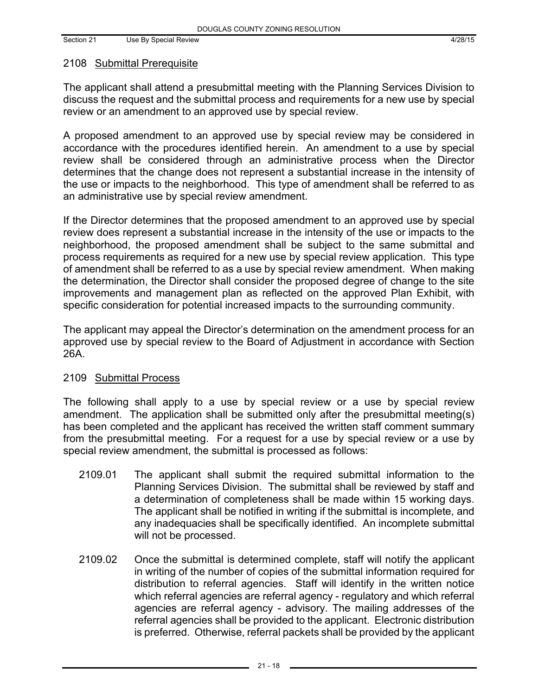#### 2108 Submittal Prerequisite

The applicant shall attend a presubmittal meeting with the Planning Services Division to discuss the request and the submittal process and requirements for a new use by special review or an amendment to an approved use by special review.

A proposed amendment to an approved use by special review may be considered in accordance with the procedures identified herein. An amendment to a use by special review shall be considered through an administrative process when the Director determines that the change does not represent a substantial increase in the intensity of the use or impacts to the neighborhood. This type of amendment shall be referred to as an administrative use by special review amendment.

If the Director determines that the proposed amendment to an approved use by special review does represent a substantial increase in the intensity of the use or impacts to the neighborhood, the proposed amendment shall be subject to the same submittal and process requirements as required for a new use by special review application. This type of amendment shall be referred to as a use by special review amendment. When making the determination, the Director shall consider the proposed degree of change to the site improvements and management plan as reflected on the approved Plan Exhibit, with specific consideration for potential increased impacts to the surrounding community.

The applicant may appeal the Director's determination on the amendment process for an approved use by special review to the Board of Adjustment in accordance with Section 26A.

### 2109 Submittal Process

The following shall apply to a use by special review or a use by special review amendment. The application shall be submitted only after the presubmittal meeting(s) has been completed and the applicant has received the written staff comment summary from the presubmittal meeting. For a request for a use by special review or a use by special review amendment, the submittal is processed as follows:

- 2109.01 The applicant shall submit the required submittal information to the Planning Services Division. The submittal shall be reviewed by staff and a determination of completeness shall be made within 15 working days. The applicant shall be notified in writing if the submittal is incomplete, and any inadequacies shall be specifically identified. An incomplete submittal will not be processed.
- 2109.02 Once the submittal is determined complete, staff will notify the applicant in writing of the number of copies of the submittal information required for distribution to referral agencies. Staff will identify in the written notice which referral agencies are referral agency - regulatory and which referral agencies are referral agency - advisory. The mailing addresses of the referral agencies shall be provided to the applicant. Electronic distribution is preferred. Otherwise, referral packets shall be provided by the applicant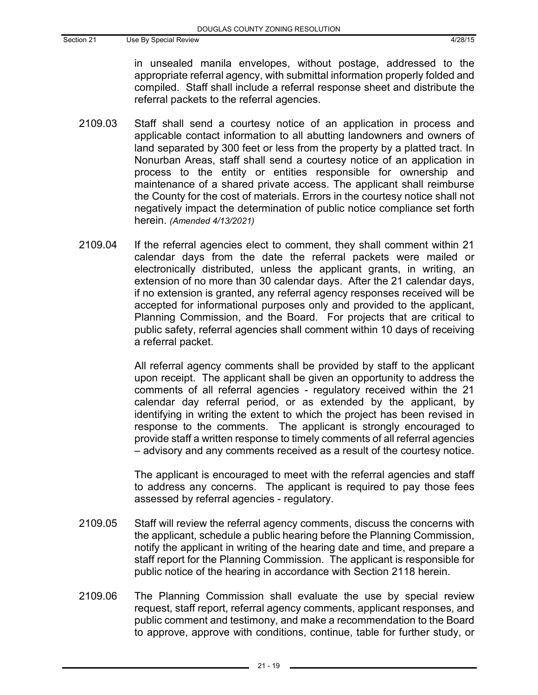in unsealed manila envelopes, without postage, addressed to the appropriate referral agency, with submittal information properly folded and compiled. Staff shall include a referral response sheet and distribute the referral packets to the referral agencies.

- 2109.03 Staff shall send a courtesy notice of an application in process and applicable contact information to all abutting landowners and owners of land separated by 300 feet or less from the property by a platted tract. In Nonurban Areas, staff shall send a courtesy notice of an application in process to the entity or entities responsible for ownership and maintenance of a shared private access. The applicant shall reimburse the County for the cost of materials. Errors in the courtesy notice shall not negatively impact the determination of public notice compliance set forth herein. *(Amended 4/13/2021)*
- 2109.04 If the referral agencies elect to comment, they shall comment within 21 calendar days from the date the referral packets were mailed or electronically distributed, unless the applicant grants, in writing, an extension of no more than 30 calendar days. After the 21 calendar days, if no extension is granted, any referral agency responses received will be accepted for informational purposes only and provided to the applicant, Planning Commission, and the Board. For projects that are critical to public safety, referral agencies shall comment within 10 days of receiving a referral packet.

All referral agency comments shall be provided by staff to the applicant upon receipt. The applicant shall be given an opportunity to address the comments of all referral agencies - regulatory received within the 21 calendar day referral period, or as extended by the applicant, by identifying in writing the extent to which the project has been revised in response to the comments. The applicant is strongly encouraged to provide staff a written response to timely comments of all referral agencies – advisory and any comments received as a result of the courtesy notice.

The applicant is encouraged to meet with the referral agencies and staff to address any concerns. The applicant is required to pay those fees assessed by referral agencies - regulatory.

- 2109.05 Staff will review the referral agency comments, discuss the concerns with the applicant, schedule a public hearing before the Planning Commission, notify the applicant in writing of the hearing date and time, and prepare a staff report for the Planning Commission. The applicant is responsible for public notice of the hearing in accordance with Section 2118 herein.
- 2109.06 The Planning Commission shall evaluate the use by special review request, staff report, referral agency comments, applicant responses, and public comment and testimony, and make a recommendation to the Board to approve, approve with conditions, continue, table for further study, or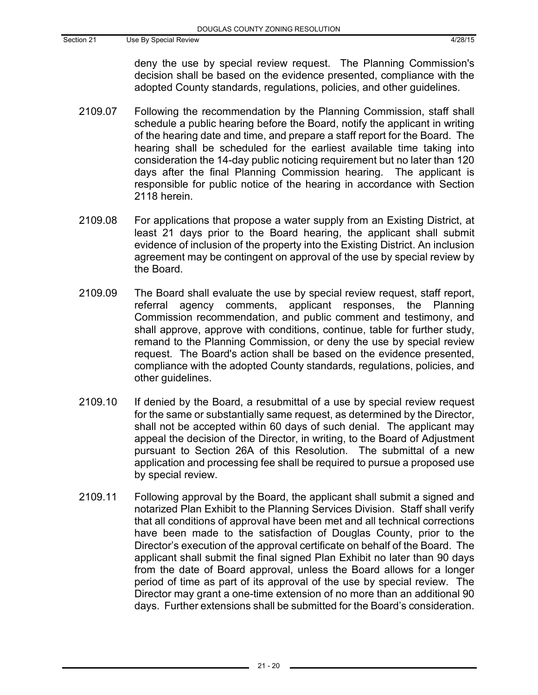deny the use by special review request. The Planning Commission's decision shall be based on the evidence presented, compliance with the adopted County standards, regulations, policies, and other guidelines.

- 2109.07 Following the recommendation by the Planning Commission, staff shall schedule a public hearing before the Board, notify the applicant in writing of the hearing date and time, and prepare a staff report for the Board. The hearing shall be scheduled for the earliest available time taking into consideration the 14-day public noticing requirement but no later than 120 days after the final Planning Commission hearing. The applicant is responsible for public notice of the hearing in accordance with Section 2118 herein.
- 2109.08 For applications that propose a water supply from an Existing District, at least 21 days prior to the Board hearing, the applicant shall submit evidence of inclusion of the property into the Existing District. An inclusion agreement may be contingent on approval of the use by special review by the Board.
- 2109.09 The Board shall evaluate the use by special review request, staff report, referral agency comments, applicant responses, the Planning Commission recommendation, and public comment and testimony, and shall approve, approve with conditions, continue, table for further study, remand to the Planning Commission, or deny the use by special review request. The Board's action shall be based on the evidence presented, compliance with the adopted County standards, regulations, policies, and other quidelines.
- 2109.10 If denied by the Board, a resubmittal of a use by special review request for the same or substantially same request, as determined by the Director, shall not be accepted within 60 days of such denial. The applicant may appeal the decision of the Director, in writing, to the Board of Adjustment pursuant to Section 26A of this Resolution. The submittal of a new application and processing fee shall be required to pursue a proposed use by special review.
- 2109.11 Following approval by the Board, the applicant shall submit a signed and notarized Plan Exhibit to the Planning Services Division. Staff shall verify that all conditions of approval have been met and all technical corrections have been made to the satisfaction of Douglas County, prior to the Director's execution of the approval certificate on behalf of the Board. The applicant shall submit the final signed Plan Exhibit no later than 90 days from the date of Board approval, unless the Board allows for a longer period of time as part of its approval of the use by special review. The Director may grant a one-time extension of no more than an additional 90 days. Further extensions shall be submitted for the Board's consideration.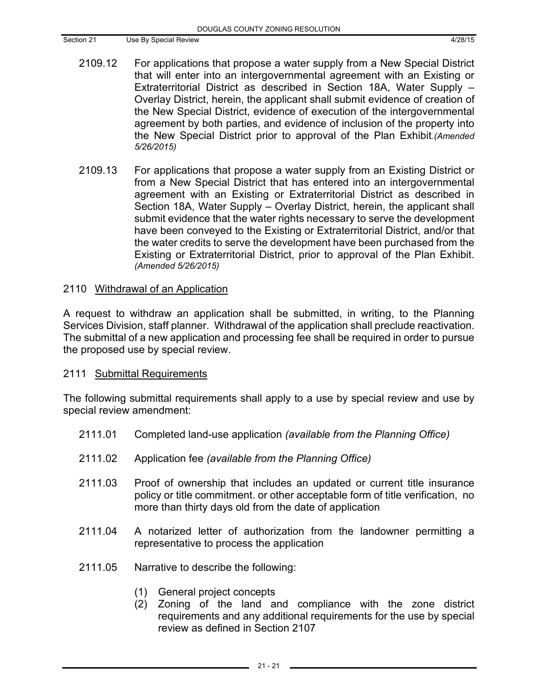- 2109.12 For applications that propose a water supply from a New Special District that will enter into an intergovernmental agreement with an Existing or Extraterritorial District as described in Section 18A, Water Supply – Overlay District, herein, the applicant shall submit evidence of creation of the New Special District, evidence of execution of the intergovernmental agreement by both parties, and evidence of inclusion of the property into the New Special District prior to approval of the Plan Exhibit*.(Amended 5/26/2015)*
- 2109.13 For applications that propose a water supply from an Existing District or from a New Special District that has entered into an intergovernmental agreement with an Existing or Extraterritorial District as described in Section 18A, Water Supply – Overlay District, herein, the applicant shall submit evidence that the water rights necessary to serve the development have been conveyed to the Existing or Extraterritorial District, and/or that the water credits to serve the development have been purchased from the Existing or Extraterritorial District, prior to approval of the Plan Exhibit. *(Amended 5/26/2015)*

#### 2110 Withdrawal of an Application

A request to withdraw an application shall be submitted, in writing, to the Planning Services Division, staff planner. Withdrawal of the application shall preclude reactivation. The submittal of a new application and processing fee shall be required in order to pursue the proposed use by special review.

#### 2111 Submittal Requirements

The following submittal requirements shall apply to a use by special review and use by special review amendment:

- 2111.01 Completed land-use application *(available from the Planning Office)*
- 2111.02 Application fee *(available from the Planning Office)*
- 2111.03 Proof of ownership that includes an updated or current title insurance policy or title commitment. or other acceptable form of title verification, no more than thirty days old from the date of application
- 2111.04 A notarized letter of authorization from the landowner permitting a representative to process the application
- 2111.05 Narrative to describe the following:
	- (1) General project concepts
	- (2) Zoning of the land and compliance with the zone district requirements and any additional requirements for the use by special review as defined in Section 2107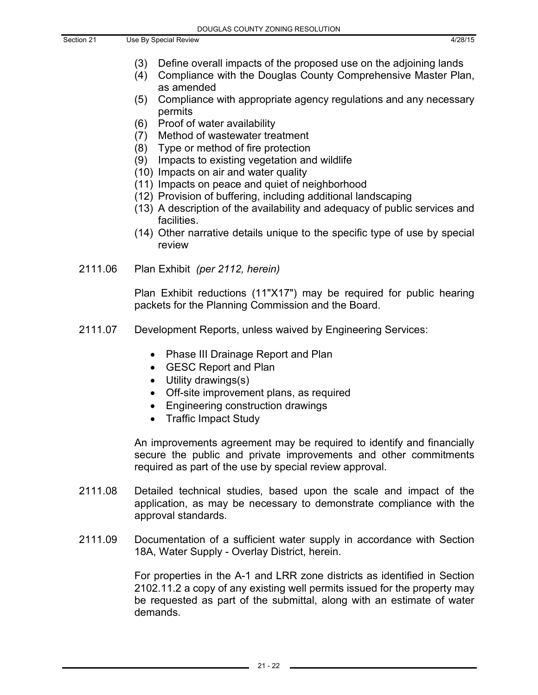- (3) Define overall impacts of the proposed use on the adjoining lands
- (4) Compliance with the Douglas County Comprehensive Master Plan, as amended
- (5) Compliance with appropriate agency regulations and any necessary permits
- (6) Proof of water availability
- (7) Method of wastewater treatment
- (8) Type or method of fire protection
- (9) Impacts to existing vegetation and wildlife
- (10) Impacts on air and water quality
- (11) Impacts on peace and quiet of neighborhood
- (12) Provision of buffering, including additional landscaping
- (13) A description of the availability and adequacy of public services and facilities.
- (14) Other narrative details unique to the specific type of use by special review
- 2111.06 Plan Exhibit *(per 2112, herein)*

Plan Exhibit reductions (11"X17") may be required for public hearing packets for the Planning Commission and the Board.

- 2111.07 Development Reports, unless waived by Engineering Services:
	- Phase III Drainage Report and Plan
	- GESC Report and Plan
	- Utility drawings(s)
	- Off-site improvement plans, as required
	- Engineering construction drawings
	- Traffic Impact Study

An improvements agreement may be required to identify and financially secure the public and private improvements and other commitments required as part of the use by special review approval.

- 2111.08 Detailed technical studies, based upon the scale and impact of the application, as may be necessary to demonstrate compliance with the approval standards.
- 2111.09 Documentation of a sufficient water supply in accordance with Section 18A, Water Supply - Overlay District, herein.

For properties in the A-1 and LRR zone districts as identified in Section 2102.11.2 a copy of any existing well permits issued for the property may be requested as part of the submittal, along with an estimate of water demands.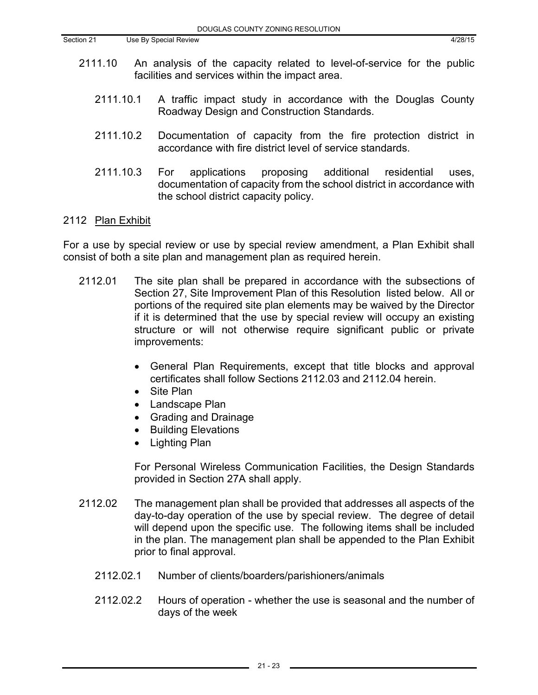- 2111.10 An analysis of the capacity related to level-of-service for the public facilities and services within the impact area.
	- 2111.10.1 A traffic impact study in accordance with the Douglas County Roadway Design and Construction Standards.
	- 2111.10.2 Documentation of capacity from the fire protection district in accordance with fire district level of service standards.
	- 2111.10.3 For applications proposing additional residential uses, documentation of capacity from the school district in accordance with the school district capacity policy.

#### 2112 Plan Exhibit

For a use by special review or use by special review amendment, a Plan Exhibit shall consist of both a site plan and management plan as required herein.

- 2112.01 The site plan shall be prepared in accordance with the subsections of Section 27, Site Improvement Plan of this Resolution listed below. All or portions of the required site plan elements may be waived by the Director if it is determined that the use by special review will occupy an existing structure or will not otherwise require significant public or private improvements:
	- General Plan Requirements, except that title blocks and approval certificates shall follow Sections 2112.03 and 2112.04 herein.
	- Site Plan
	- Landscape Plan
	- Grading and Drainage
	- Building Elevations
	- Lighting Plan

For Personal Wireless Communication Facilities, the Design Standards provided in Section 27A shall apply.

- 2112.02 The management plan shall be provided that addresses all aspects of the day-to-day operation of the use by special review. The degree of detail will depend upon the specific use. The following items shall be included in the plan. The management plan shall be appended to the Plan Exhibit prior to final approval.
	- 2112.02.1 Number of clients/boarders/parishioners/animals
	- 2112.02.2 Hours of operation whether the use is seasonal and the number of days of the week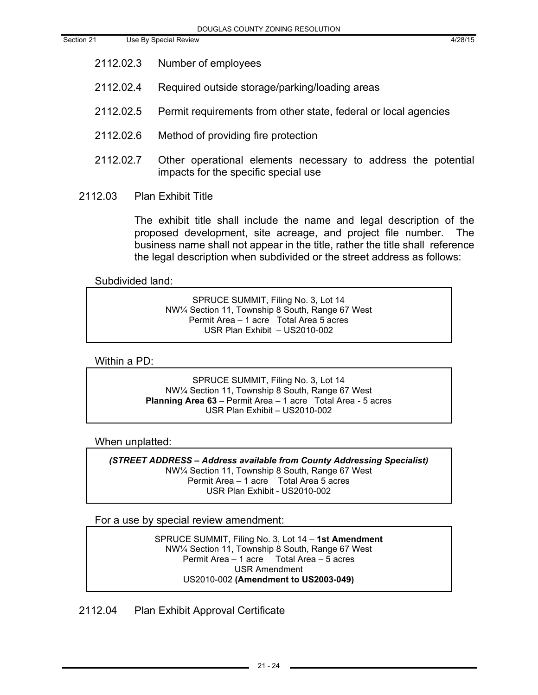- 2112.02.3 Number of employees
- 2112.02.4 Required outside storage/parking/loading areas
- 2112.02.5 Permit requirements from other state, federal or local agencies
- 2112.02.6 Method of providing fire protection
- 2112.02.7 Other operational elements necessary to address the potential impacts for the specific special use
- 2112.03 Plan Exhibit Title

The exhibit title shall include the name and legal description of the proposed development, site acreage, and project file number. The business name shall not appear in the title, rather the title shall reference the legal description when subdivided or the street address as follows:

Subdivided land:

SPRUCE SUMMIT, Filing No. 3, Lot 14 NW¼ Section 11, Township 8 South, Range 67 West Permit Area – 1 acre Total Area 5 acres USR Plan Exhibit – US2010-002

Within a PD:

SPRUCE SUMMIT, Filing No. 3, Lot 14 NW¼ Section 11, Township 8 South, Range 67 West **Planning Area 63** – Permit Area – 1 acre Total Area - 5 acres USR Plan Exhibit – US2010-002

When unplatted:

*(STREET ADDRESS – Address available from County Addressing Specialist)* NW¼ Section 11, Township 8 South, Range 67 West Permit Area – 1 acre Total Area 5 acres USR Plan Exhibit - US2010-002

For a use by special review amendment:

SPRUCE SUMMIT, Filing No. 3, Lot 14 – **1st Amendment** NW¼ Section 11, Township 8 South, Range 67 West Permit Area – 1 acre Total Area – 5 acres USR Amendment US2010-002 **(Amendment to US2003-049)**

2112.04 Plan Exhibit Approval Certificate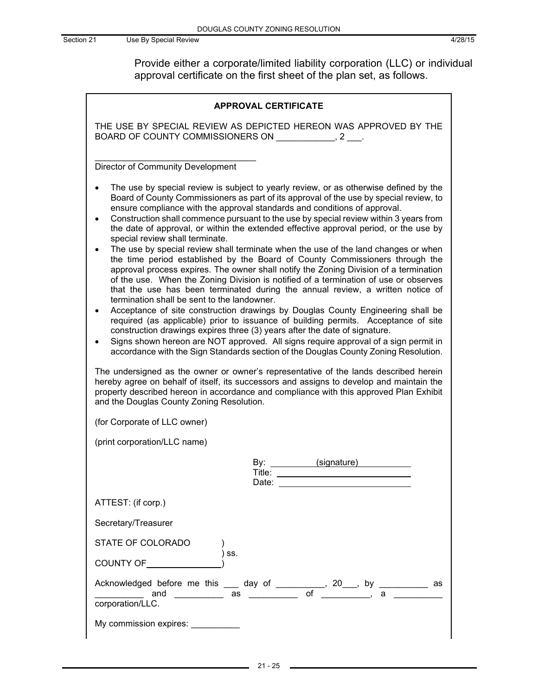Provide either a corporate/limited liability corporation (LLC) or individual approval certificate on the first sheet of the plan set, as follows.

| <b>APPROVAL CERTIFICATE</b>                                                                                                                                                                                                                                                                                                                                                                                                                                                                                                                                                                                                                                                                                                                                                                                                                                                                                                                                                                                                                                                                                                                                                                                                                                                                                                                                                                                                                                                                            |  |  |
|--------------------------------------------------------------------------------------------------------------------------------------------------------------------------------------------------------------------------------------------------------------------------------------------------------------------------------------------------------------------------------------------------------------------------------------------------------------------------------------------------------------------------------------------------------------------------------------------------------------------------------------------------------------------------------------------------------------------------------------------------------------------------------------------------------------------------------------------------------------------------------------------------------------------------------------------------------------------------------------------------------------------------------------------------------------------------------------------------------------------------------------------------------------------------------------------------------------------------------------------------------------------------------------------------------------------------------------------------------------------------------------------------------------------------------------------------------------------------------------------------------|--|--|
| THE USE BY SPECIAL REVIEW AS DEPICTED HEREON WAS APPROVED BY THE<br>BOARD OF COUNTY COMMISSIONERS ON ______________, 2 ____.                                                                                                                                                                                                                                                                                                                                                                                                                                                                                                                                                                                                                                                                                                                                                                                                                                                                                                                                                                                                                                                                                                                                                                                                                                                                                                                                                                           |  |  |
| Director of Community Development                                                                                                                                                                                                                                                                                                                                                                                                                                                                                                                                                                                                                                                                                                                                                                                                                                                                                                                                                                                                                                                                                                                                                                                                                                                                                                                                                                                                                                                                      |  |  |
| The use by special review is subject to yearly review, or as otherwise defined by the<br>Board of County Commissioners as part of its approval of the use by special review, to<br>ensure compliance with the approval standards and conditions of approval.<br>Construction shall commence pursuant to the use by special review within 3 years from<br>the date of approval, or within the extended effective approval period, or the use by<br>special review shall terminate.<br>The use by special review shall terminate when the use of the land changes or when<br>the time period established by the Board of County Commissioners through the<br>approval process expires. The owner shall notify the Zoning Division of a termination<br>of the use. When the Zoning Division is notified of a termination of use or observes<br>that the use has been terminated during the annual review, a written notice of<br>termination shall be sent to the landowner.<br>Acceptance of site construction drawings by Douglas County Engineering shall be<br>required (as applicable) prior to issuance of building permits. Acceptance of site<br>construction drawings expires three (3) years after the date of signature.<br>Signs shown hereon are NOT approved. All signs require approval of a sign permit in<br>accordance with the Sign Standards section of the Douglas County Zoning Resolution.<br>The undersigned as the owner or owner's representative of the lands described herein |  |  |
| hereby agree on behalf of itself, its successors and assigns to develop and maintain the<br>property described hereon in accordance and compliance with this approved Plan Exhibit<br>and the Douglas County Zoning Resolution.                                                                                                                                                                                                                                                                                                                                                                                                                                                                                                                                                                                                                                                                                                                                                                                                                                                                                                                                                                                                                                                                                                                                                                                                                                                                        |  |  |
| (for Corporate of LLC owner)                                                                                                                                                                                                                                                                                                                                                                                                                                                                                                                                                                                                                                                                                                                                                                                                                                                                                                                                                                                                                                                                                                                                                                                                                                                                                                                                                                                                                                                                           |  |  |
| (print corporation/LLC name)                                                                                                                                                                                                                                                                                                                                                                                                                                                                                                                                                                                                                                                                                                                                                                                                                                                                                                                                                                                                                                                                                                                                                                                                                                                                                                                                                                                                                                                                           |  |  |
| (signature)<br>By:<br>Title:<br>Date:                                                                                                                                                                                                                                                                                                                                                                                                                                                                                                                                                                                                                                                                                                                                                                                                                                                                                                                                                                                                                                                                                                                                                                                                                                                                                                                                                                                                                                                                  |  |  |
| ATTEST: (if corp.)                                                                                                                                                                                                                                                                                                                                                                                                                                                                                                                                                                                                                                                                                                                                                                                                                                                                                                                                                                                                                                                                                                                                                                                                                                                                                                                                                                                                                                                                                     |  |  |
| Secretary/Treasurer                                                                                                                                                                                                                                                                                                                                                                                                                                                                                                                                                                                                                                                                                                                                                                                                                                                                                                                                                                                                                                                                                                                                                                                                                                                                                                                                                                                                                                                                                    |  |  |
| STATE OF COLORADO                                                                                                                                                                                                                                                                                                                                                                                                                                                                                                                                                                                                                                                                                                                                                                                                                                                                                                                                                                                                                                                                                                                                                                                                                                                                                                                                                                                                                                                                                      |  |  |
| SS.<br>COUNTY OF <u>substantial and the set of the set of the set of the set of the set of the set of the set of the set of the set of the set of the set of the set of the set of the set of the set of the set of the set of the set </u>                                                                                                                                                                                                                                                                                                                                                                                                                                                                                                                                                                                                                                                                                                                                                                                                                                                                                                                                                                                                                                                                                                                                                                                                                                                            |  |  |
| Acknowledged before me this $\_\_$ day of $\_\_$ , 20, by $\_\_$ as<br>corporation/LLC.                                                                                                                                                                                                                                                                                                                                                                                                                                                                                                                                                                                                                                                                                                                                                                                                                                                                                                                                                                                                                                                                                                                                                                                                                                                                                                                                                                                                                |  |  |
| My commission expires:                                                                                                                                                                                                                                                                                                                                                                                                                                                                                                                                                                                                                                                                                                                                                                                                                                                                                                                                                                                                                                                                                                                                                                                                                                                                                                                                                                                                                                                                                 |  |  |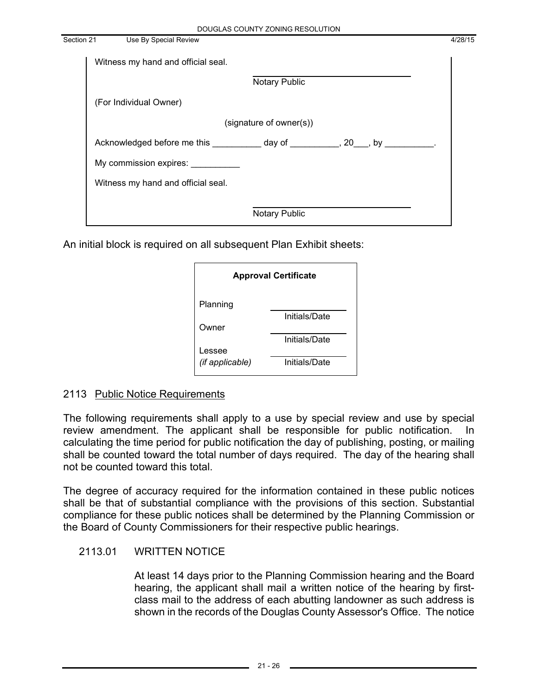| Section 21 | Use By Special Review                                                        | 4/28/15 |
|------------|------------------------------------------------------------------------------|---------|
|            | Witness my hand and official seal.                                           |         |
|            | Notary Public                                                                |         |
|            | (For Individual Owner)                                                       |         |
|            | (signature of owner(s))                                                      |         |
|            | Acknowledged before me this ___________ day of _________, 20___, by ________ |         |
|            | My commission expires:                                                       |         |
|            | Witness my hand and official seal.                                           |         |
|            |                                                                              |         |
|            | <b>Notary Public</b>                                                         |         |

An initial block is required on all subsequent Plan Exhibit sheets:

| <b>Approval Certificate</b> |               |  |
|-----------------------------|---------------|--|
| Planning                    |               |  |
|                             | Initials/Date |  |
| Owner                       |               |  |
|                             | Initials/Date |  |
| Lessee                      |               |  |
| (if applicable)             | Initials/Date |  |

### 2113 Public Notice Requirements

The following requirements shall apply to a use by special review and use by special review amendment. The applicant shall be responsible for public notification. In calculating the time period for public notification the day of publishing, posting, or mailing shall be counted toward the total number of days required. The day of the hearing shall not be counted toward this total.

The degree of accuracy required for the information contained in these public notices shall be that of substantial compliance with the provisions of this section. Substantial compliance for these public notices shall be determined by the Planning Commission or the Board of County Commissioners for their respective public hearings.

### 2113.01 WRITTEN NOTICE

At least 14 days prior to the Planning Commission hearing and the Board hearing, the applicant shall mail a written notice of the hearing by firstclass mail to the address of each abutting landowner as such address is shown in the records of the Douglas County Assessor's Office. The notice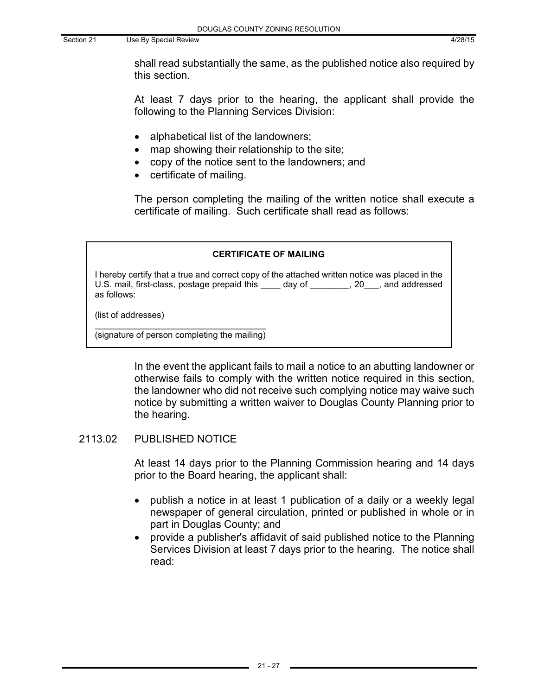shall read substantially the same, as the published notice also required by this section.

At least 7 days prior to the hearing, the applicant shall provide the following to the Planning Services Division:

- alphabetical list of the landowners;
- map showing their relationship to the site;
- copy of the notice sent to the landowners; and
- certificate of mailing.

The person completing the mailing of the written notice shall execute a certificate of mailing. Such certificate shall read as follows:

#### **CERTIFICATE OF MAILING**

I hereby certify that a true and correct copy of the attached written notice was placed in the U.S. mail, first-class, postage prepaid this \_\_\_\_ day of \_\_\_\_\_\_\_, 20\_\_, and addressed as follows:

(list of addresses)

\_\_\_\_\_\_\_\_\_\_\_\_\_\_\_\_\_\_\_\_\_\_\_\_\_\_\_\_\_\_\_\_\_\_\_ (signature of person completing the mailing)

> In the event the applicant fails to mail a notice to an abutting landowner or otherwise fails to comply with the written notice required in this section, the landowner who did not receive such complying notice may waive such notice by submitting a written waiver to Douglas County Planning prior to the hearing.

### 2113.02 PUBLISHED NOTICE

At least 14 days prior to the Planning Commission hearing and 14 days prior to the Board hearing, the applicant shall:

- publish a notice in at least 1 publication of a daily or a weekly legal newspaper of general circulation, printed or published in whole or in part in Douglas County; and
- provide a publisher's affidavit of said published notice to the Planning Services Division at least 7 days prior to the hearing. The notice shall read: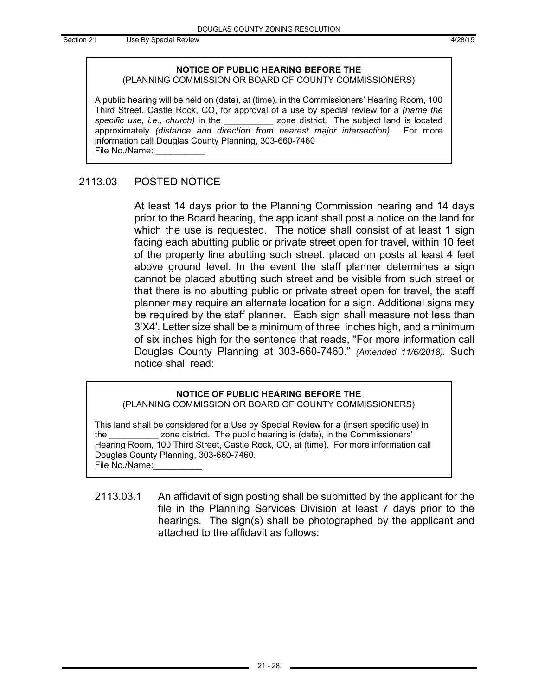### **NOTICE OF PUBLIC HEARING BEFORE THE**

(PLANNING COMMISSION OR BOARD OF COUNTY COMMISSIONERS)

A public hearing will be held on (date), at (time), in the Commissioners' Hearing Room, 100 Third Street, Castle Rock, CO, for approval of a use by special review for a *(name the specific use, i.e., church)* in the \_\_\_\_\_\_\_\_\_\_ zone district. The subject land is located approximately *(distance and direction from nearest major intersection).* For more information call Douglas County Planning, 303-660-7460 File No./Name:

### 2113.03 POSTED NOTICE

At least 14 days prior to the Planning Commission hearing and 14 days prior to the Board hearing, the applicant shall post a notice on the land for which the use is requested. The notice shall consist of at least 1 sign facing each abutting public or private street open for travel, within 10 feet of the property line abutting such street, placed on posts at least 4 feet above ground level. In the event the staff planner determines a sign cannot be placed abutting such street and be visible from such street or that there is no abutting public or private street open for travel, the staff planner may require an alternate location for a sign. Additional signs may be required by the staff planner. Each sign shall measure not less than 3'X4'. Letter size shall be a minimum of three inches high, and a minimum of six inches high for the sentence that reads, "For more information call Douglas County Planning at 303-660-7460." *(Amended 11/6/2018).* Such notice shall read:

#### **NOTICE OF PUBLIC HEARING BEFORE THE**

(PLANNING COMMISSION OR BOARD OF COUNTY COMMISSIONERS)

This land shall be considered for a Use by Special Review for a (insert specific use) in the zone district. The public hearing is (date), in the Commissioners' Hearing Room, 100 Third Street, Castle Rock, CO, at (time). For more information call Douglas County Planning, 303-660-7460. File No./Name:

2113.03.1 An affidavit of sign posting shall be submitted by the applicant for the file in the Planning Services Division at least 7 days prior to the hearings. The sign(s) shall be photographed by the applicant and attached to the affidavit as follows: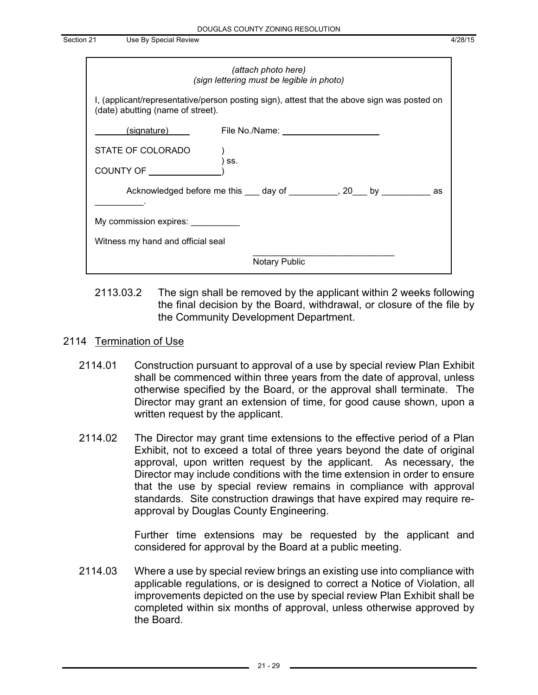|                                                                                                                                     | (attach photo here)<br>(sign lettering must be legible in photo)                            |  |
|-------------------------------------------------------------------------------------------------------------------------------------|---------------------------------------------------------------------------------------------|--|
| (date) abutting (name of street).                                                                                                   | I, (applicant/representative/person posting sign), attest that the above sign was posted on |  |
|                                                                                                                                     | (signature) File No./Name: Same Manuscription of the No./Name:                              |  |
| STATE OF COLORADO<br>COUNTY OF THE STATE OF THE STATE OF THE STATE OF THE STATE OF THE STATE OF THE STATE OF THE STATE OF THE STATE | SS.                                                                                         |  |
|                                                                                                                                     | Acknowledged before me this ____ day of ___________, 20___ by ___________ as                |  |
| My commission expires: ___________                                                                                                  |                                                                                             |  |

2113.03.2 The sign shall be removed by the applicant within 2 weeks following the final decision by the Board, withdrawal, or closure of the file by the Community Development Department.

#### 2114 Termination of Use

- 2114.01 Construction pursuant to approval of a use by special review Plan Exhibit shall be commenced within three years from the date of approval, unless otherwise specified by the Board, or the approval shall terminate. The Director may grant an extension of time, for good cause shown, upon a written request by the applicant.
- 2114.02 The Director may grant time extensions to the effective period of a Plan Exhibit, not to exceed a total of three years beyond the date of original approval, upon written request by the applicant. As necessary, the Director may include conditions with the time extension in order to ensure that the use by special review remains in compliance with approval standards. Site construction drawings that have expired may require reapproval by Douglas County Engineering.

Further time extensions may be requested by the applicant and considered for approval by the Board at a public meeting.

2114.03 Where a use by special review brings an existing use into compliance with applicable regulations, or is designed to correct a Notice of Violation, all improvements depicted on the use by special review Plan Exhibit shall be completed within six months of approval, unless otherwise approved by the Board.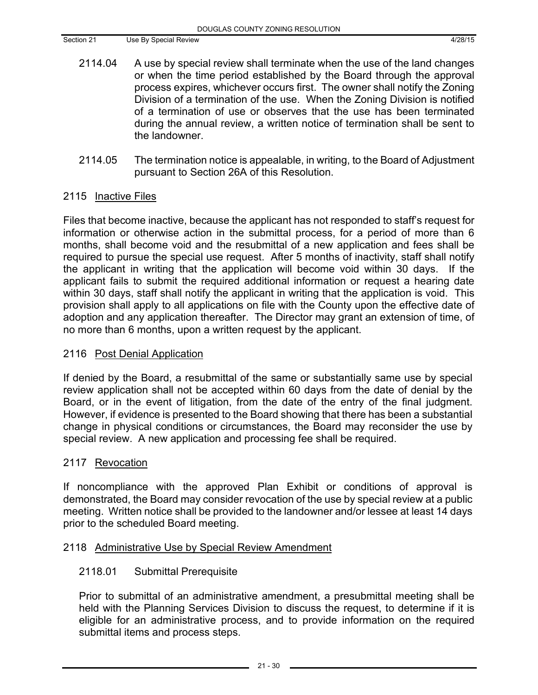- 2114.04 A use by special review shall terminate when the use of the land changes or when the time period established by the Board through the approval process expires, whichever occurs first. The owner shall notify the Zoning Division of a termination of the use. When the Zoning Division is notified of a termination of use or observes that the use has been terminated during the annual review, a written notice of termination shall be sent to the landowner.
- 2114.05 The termination notice is appealable, in writing, to the Board of Adjustment pursuant to Section 26A of this Resolution.

# 2115 Inactive Files

Files that become inactive, because the applicant has not responded to staff's request for information or otherwise action in the submittal process, for a period of more than 6 months, shall become void and the resubmittal of a new application and fees shall be required to pursue the special use request. After 5 months of inactivity, staff shall notify the applicant in writing that the application will become void within 30 days. If the applicant fails to submit the required additional information or request a hearing date within 30 days, staff shall notify the applicant in writing that the application is void. This provision shall apply to all applications on file with the County upon the effective date of adoption and any application thereafter. The Director may grant an extension of time, of no more than 6 months, upon a written request by the applicant.

# 2116 Post Denial Application

If denied by the Board, a resubmittal of the same or substantially same use by special review application shall not be accepted within 60 days from the date of denial by the Board, or in the event of litigation, from the date of the entry of the final judgment. However, if evidence is presented to the Board showing that there has been a substantial change in physical conditions or circumstances, the Board may reconsider the use by special review. A new application and processing fee shall be required.

# 2117 Revocation

If noncompliance with the approved Plan Exhibit or conditions of approval is demonstrated, the Board may consider revocation of the use by special review at a public meeting. Written notice shall be provided to the landowner and/or lessee at least 14 days prior to the scheduled Board meeting.

# 2118 Administrative Use by Special Review Amendment

# 2118.01 Submittal Prerequisite

Prior to submittal of an administrative amendment, a presubmittal meeting shall be held with the Planning Services Division to discuss the request, to determine if it is eligible for an administrative process, and to provide information on the required submittal items and process steps.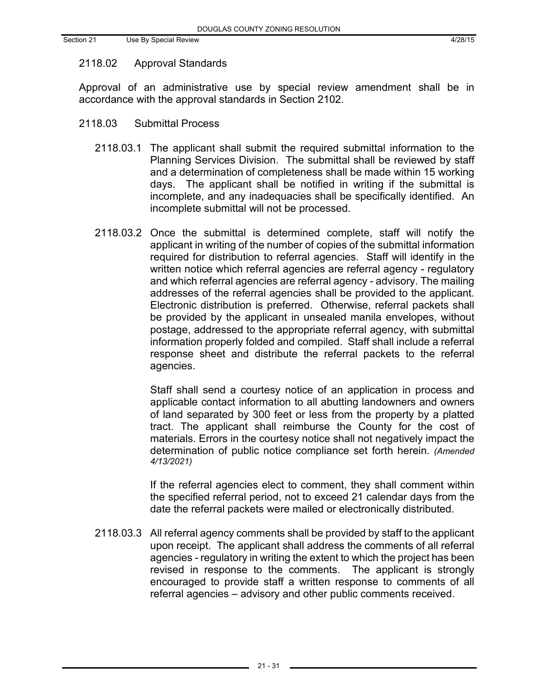# 2118.02 Approval Standards

Approval of an administrative use by special review amendment shall be in accordance with the approval standards in Section 2102.

- 2118.03 Submittal Process
	- 2118.03.1 The applicant shall submit the required submittal information to the Planning Services Division. The submittal shall be reviewed by staff and a determination of completeness shall be made within 15 working days. The applicant shall be notified in writing if the submittal is incomplete, and any inadequacies shall be specifically identified. An incomplete submittal will not be processed.
	- 2118.03.2 Once the submittal is determined complete, staff will notify the applicant in writing of the number of copies of the submittal information required for distribution to referral agencies. Staff will identify in the written notice which referral agencies are referral agency - regulatory and which referral agencies are referral agency - advisory. The mailing addresses of the referral agencies shall be provided to the applicant. Electronic distribution is preferred. Otherwise, referral packets shall be provided by the applicant in unsealed manila envelopes, without postage, addressed to the appropriate referral agency, with submittal information properly folded and compiled. Staff shall include a referral response sheet and distribute the referral packets to the referral agencies.

Staff shall send a courtesy notice of an application in process and applicable contact information to all abutting landowners and owners of land separated by 300 feet or less from the property by a platted tract. The applicant shall reimburse the County for the cost of materials. Errors in the courtesy notice shall not negatively impact the determination of public notice compliance set forth herein. *(Amended 4/13/2021)*

If the referral agencies elect to comment, they shall comment within the specified referral period, not to exceed 21 calendar days from the date the referral packets were mailed or electronically distributed.

2118.03.3 All referral agency comments shall be provided by staff to the applicant upon receipt. The applicant shall address the comments of all referral agencies - regulatory in writing the extent to which the project has been revised in response to the comments. The applicant is strongly encouraged to provide staff a written response to comments of all referral agencies – advisory and other public comments received.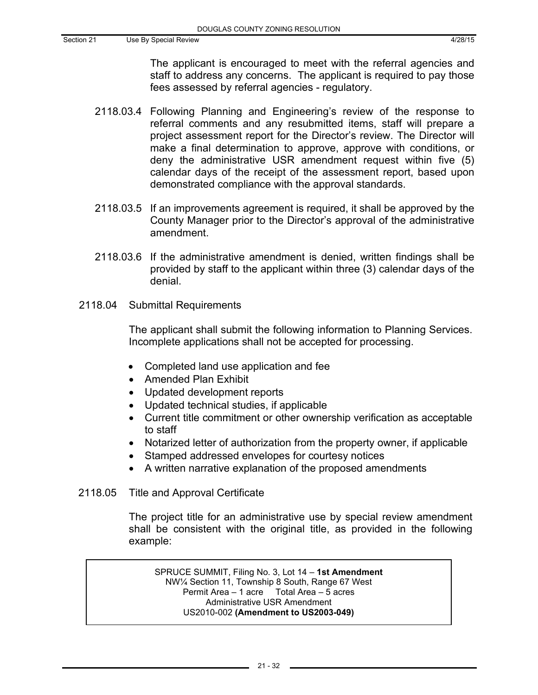The applicant is encouraged to meet with the referral agencies and staff to address any concerns. The applicant is required to pay those fees assessed by referral agencies - regulatory.

- 2118.03.4 Following Planning and Engineering's review of the response to referral comments and any resubmitted items, staff will prepare a project assessment report for the Director's review. The Director will make a final determination to approve, approve with conditions, or deny the administrative USR amendment request within five (5) calendar days of the receipt of the assessment report, based upon demonstrated compliance with the approval standards.
- 2118.03.5 If an improvements agreement is required, it shall be approved by the County Manager prior to the Director's approval of the administrative amendment.
- 2118.03.6 If the administrative amendment is denied, written findings shall be provided by staff to the applicant within three (3) calendar days of the denial.
- 2118.04 Submittal Requirements

The applicant shall submit the following information to Planning Services. Incomplete applications shall not be accepted for processing.

- Completed land use application and fee
- Amended Plan Exhibit
- Updated development reports
- Updated technical studies, if applicable
- Current title commitment or other ownership verification as acceptable to staff
- Notarized letter of authorization from the property owner, if applicable
- Stamped addressed envelopes for courtesy notices
- A written narrative explanation of the proposed amendments
- 2118.05 Title and Approval Certificate

The project title for an administrative use by special review amendment shall be consistent with the original title, as provided in the following example:

SPRUCE SUMMIT, Filing No. 3, Lot 14 – **1st Amendment** NW¼ Section 11, Township 8 South, Range 67 West Permit Area – 1 acre Total Area – 5 acres Administrative USR Amendment US2010-002 **(Amendment to US2003-049)**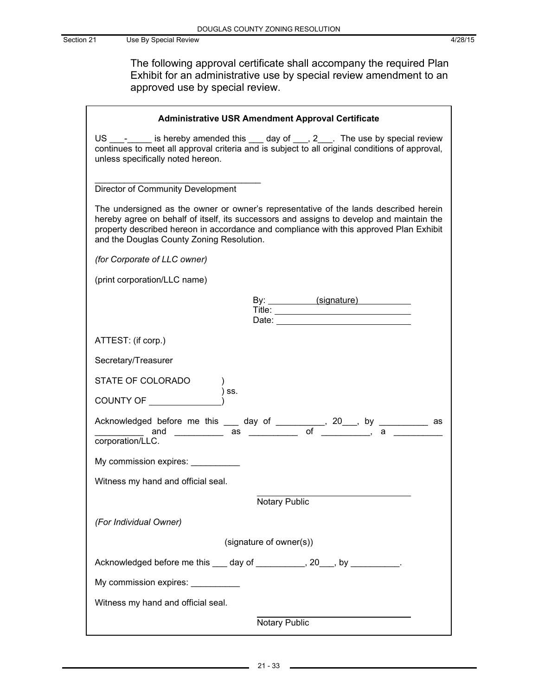The following approval certificate shall accompany the required Plan Exhibit for an administrative use by special review amendment to an approved use by special review.

| <b>Administrative USR Amendment Approval Certificate</b>                                                                                                                                                                                                                                                                |  |  |  |
|-------------------------------------------------------------------------------------------------------------------------------------------------------------------------------------------------------------------------------------------------------------------------------------------------------------------------|--|--|--|
| US $\_\_\_\_\_\_\$ r is hereby amended this $\_\_\_$ day of $\_\_\_\$ , 2 $\_\_\_\$ . The use by special review<br>continues to meet all approval criteria and is subject to all original conditions of approval,<br>unless specifically noted hereon.                                                                  |  |  |  |
| Director of Community Development                                                                                                                                                                                                                                                                                       |  |  |  |
| The undersigned as the owner or owner's representative of the lands described herein<br>hereby agree on behalf of itself, its successors and assigns to develop and maintain the<br>property described hereon in accordance and compliance with this approved Plan Exhibit<br>and the Douglas County Zoning Resolution. |  |  |  |
| (for Corporate of LLC owner)                                                                                                                                                                                                                                                                                            |  |  |  |
| (print corporation/LLC name)                                                                                                                                                                                                                                                                                            |  |  |  |
|                                                                                                                                                                                                                                                                                                                         |  |  |  |
| ATTEST: (if corp.)                                                                                                                                                                                                                                                                                                      |  |  |  |
| Secretary/Treasurer                                                                                                                                                                                                                                                                                                     |  |  |  |
| STATE OF COLORADO                                                                                                                                                                                                                                                                                                       |  |  |  |
|                                                                                                                                                                                                                                                                                                                         |  |  |  |
| Acknowledged before me this ___ day of ________, 20__, by ________ as _________ as ________ of ________, a _________<br>corporation/LLC.                                                                                                                                                                                |  |  |  |
| My commission expires: __________                                                                                                                                                                                                                                                                                       |  |  |  |
| Witness my hand and official seal.                                                                                                                                                                                                                                                                                      |  |  |  |
| Notary Public                                                                                                                                                                                                                                                                                                           |  |  |  |
| (For Individual Owner)                                                                                                                                                                                                                                                                                                  |  |  |  |
| (signature of owner(s))                                                                                                                                                                                                                                                                                                 |  |  |  |
| Acknowledged before me this ____ day of ___________, 20___, by __________.                                                                                                                                                                                                                                              |  |  |  |
| My commission expires:                                                                                                                                                                                                                                                                                                  |  |  |  |
| Witness my hand and official seal.                                                                                                                                                                                                                                                                                      |  |  |  |
| Notary Public                                                                                                                                                                                                                                                                                                           |  |  |  |